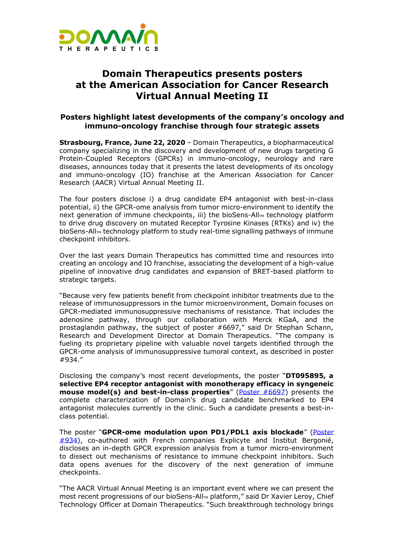

## **Domain Therapeutics presents posters at the American Association for Cancer Research Virtual Annual Meeting II**

## **Posters highlight latest developments of the company's oncology and immuno-oncology franchise through four strategic assets**

**Strasbourg, France, June 22, 2020** – Domain Therapeutics, a biopharmaceutical company specializing in the discovery and development of new drugs targeting G Protein-Coupled Receptors (GPCRs) in immuno-oncology, neurology and rare diseases, announces today that it presents the latest developments of its oncology and immuno-oncology (IO) franchise at the [American Association for Cancer](https://www.aacr.org/meeting/aacr-annual-meeting-2020/)  [Research \(AACR\) Virtual Annual Meeting](https://www.aacr.org/meeting/aacr-annual-meeting-2020/) II.

The four posters disclose i) a drug candidate EP4 antagonist with best-in-class potential, ii) the GPCR-ome analysis from tumor micro-environment to identify the next generation of immune checkpoints, iii) the bioSens-All<sub>M</sub> technology platform to drive drug discovery on mutated Receptor Tyrosine Kinases (RTKs) and iv) the bioSens-All<sub>M</sub> technology platform to study real-time signalling pathways of immune checkpoint inhibitors.

Over the last years Domain Therapeutics has committed time and resources into creating an oncology and IO franchise, associating the development of a high-value pipeline of innovative drug candidates and expansion of BRET-based platform to strategic targets.

"Because very few patients benefit from checkpoint inhibitor treatments due to the release of immunosuppressors in the tumor microenvironment, Domain focuses on GPCR-mediated immunosuppressive mechanisms of resistance. That includes the adenosine pathway, through our collaboration with Merck KGaA, and the prostaglandin pathway, the subject of poster #6697," said Dr Stephan Schann, Research and Development Director at Domain Therapeutics. "The company is fueling its proprietary pipeline with valuable novel targets identified through the GPCR-ome analysis of immunosuppressive tumoral context, as described in poster #934."

Disclosing the company's most recent developments, the poster "**DT095895, a selective EP4 receptor antagonist with monotherapy efficacy in syngeneic mouse model(s) and best-in-class properties**" ([Poster #6697\)](http://www.abstractsonline.com/pp8/#!/9045/presentations/6697/1) presents the complete characterization of Domain's drug candidate benchmarked to EP4 antagonist molecules currently in the clinic. Such a candidate presents a best-inclass potential.

The poster "**GPCR-ome modulation upon PD1/PDL1 axis blockade**" [\(Poster](http://www.abstractsonline.com/pp8/#!/9045/presentation/7271)   $\#934$ ), co-authored with French companies [Explicyte](https://explicyte.com/) and [Institut Bergonié,](https://www.bergonie.fr/) discloses an in-depth GPCR expression analysis from a tumor micro-environment to dissect out mechanisms of resistance to immune checkpoint inhibitors. Such data opens avenues for the discovery of the next generation of immune checkpoints.

"The AACR Virtual Annual Meeting is an important event where we can present the most recent progressions of our bioSens-All<sub>M</sub> platform," said Dr Xavier Leroy, Chief Technology Officer at Domain Therapeutics. "Such breakthrough technology brings